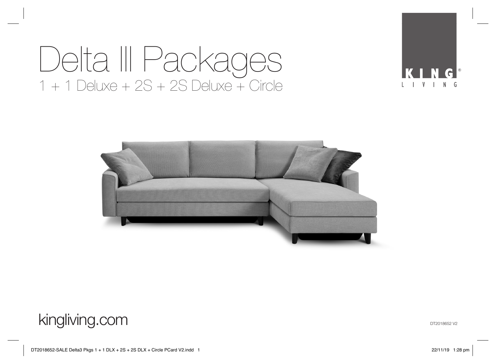# Delta III Packages  $1 + 1$  Deluxe + 2S + 2S Deluxe + Circle



kingliving.com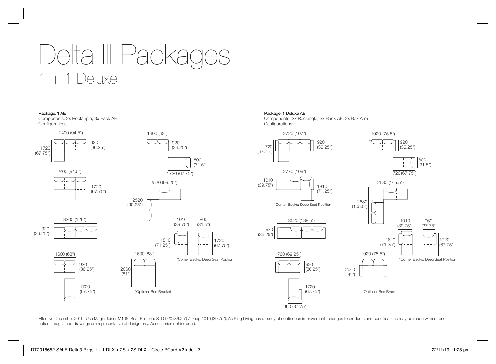



Package: 1 Deluxe AE

Components: 2x Rectangle, 3x Back AE, 2x Box Arm Configurations:



Effective December 2019. Use Magic Joiner M105. Seat Position: STD 920 (36.25") / Deep 1010 (39.75"). As King Living has a policy of continuous improvement, changes to products and specifications may be made without prior notice. Images and drawings are representative of design only. Accessories not included.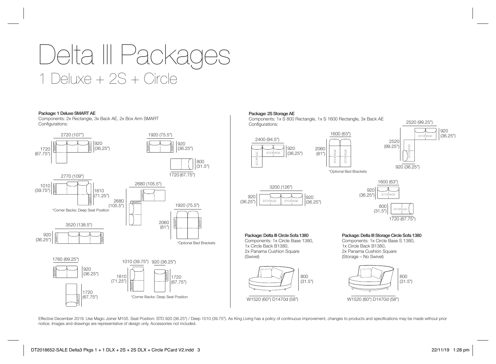# Delta III Packages 1 Deluxe + 2S + Circle

### Package: 1 Deluxe SMART AE

Components: 2x Rectangle, 3x Back AE, 2x Box Arm SMART Configurations:



## Package: 2S Storage AE

Components: 1x S 800 Rectangle, 1x S 1600 Rectangle, 3x Back AE Configurations:



 $(99.25")$   $(99.25")$  $(81)$ 

1600 (63")

\*Optional Bed Brackets





Package: Delta III Circle Sofa 1380 Components: 1x Circle Base 1380, 1x Circle Back B1380, 2x Panama Cushion Square

> (31.5") 800



Package: Delta III Storage Circle Sofa 1380

Components: 1x Circle Base S 1380, 1x Circle Back B1380, 2x Panama Cushion Square (Storage – No Swivel)



Effective December 2019. Use Magic Joiner M105. Seat Position: STD 920 (36.25") / Deep 1010 (39.75"). As King Living has a policy of continuous improvement, changes to products and specifications may be made without prior notice. Images and drawings are representative of design only. Accessories not included.

(Swivel)